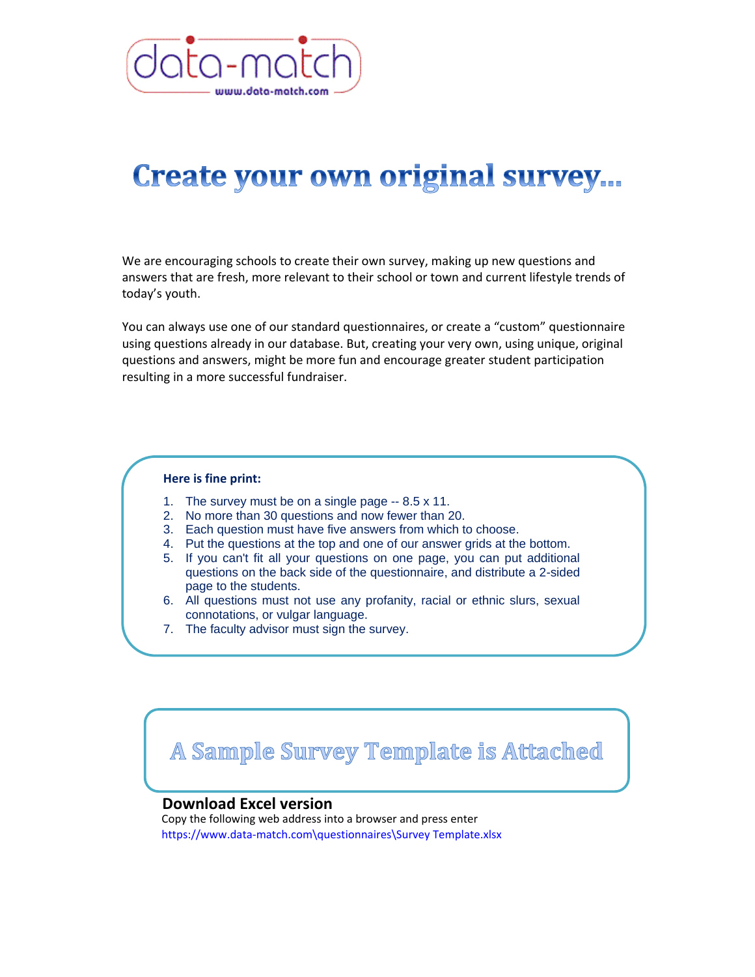

## **Create your own original survey...**

We are encouraging schools to create their own survey, making up new questions and answers that are fresh, more relevant to their school or town and current lifestyle trends of today's youth.

You can always use one of our standard questionnaires, or create a "custom" questionnaire using questions already in our database. But, creating your very own, using unique, original questions and answers, might be more fun and encourage greater student participation resulting in a more successful fundraiser.

## **Here is fine print:**

- 1. The survey must be on a single page -- 8.5 x 11.
- 2. No more than 30 questions and now fewer than 20.
- 3. Each question must have five answers from which to choose.
- 4. Put the questions at the top and one of our answer grids at the bottom.
- 5. If you can't fit all your questions on one page, you can put additional questions on the back side of the questionnaire, and distribute a 2-sided page to the students.
- 6. All questions must not use any profanity, racial or ethnic slurs, sexual connotations, or vulgar language.
- 7. The faculty advisor must sign the survey.

A Sample Survey Template is Attached

## **Download Excel version**<br>Convitie fallowing web address into a brewser and areas enter.

Copy the following web address into a browser and press enter https://www.data-match.com\questionnaires\Survey Template.xlsx

name]. The e-mail must identify the school name, city and state, club or